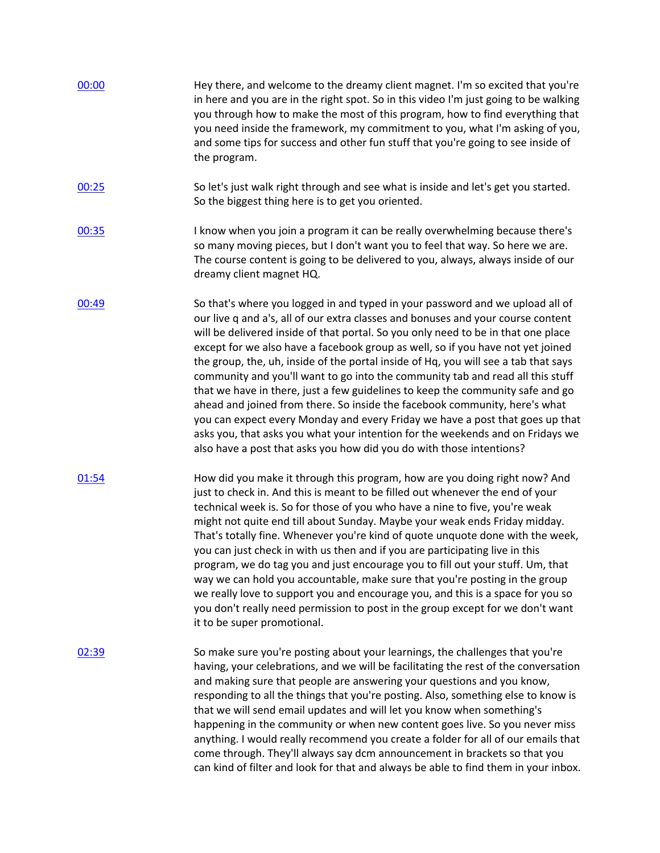| 00:00 | Hey there, and welcome to the dreamy client magnet. I'm so excited that you're<br>in here and you are in the right spot. So in this video I'm just going to be walking<br>you through how to make the most of this program, how to find everything that<br>you need inside the framework, my commitment to you, what I'm asking of you,<br>and some tips for success and other fun stuff that you're going to see inside of<br>the program.                                                                                                                                                                                                                                                                                                                                                                                                                                                                                   |
|-------|-------------------------------------------------------------------------------------------------------------------------------------------------------------------------------------------------------------------------------------------------------------------------------------------------------------------------------------------------------------------------------------------------------------------------------------------------------------------------------------------------------------------------------------------------------------------------------------------------------------------------------------------------------------------------------------------------------------------------------------------------------------------------------------------------------------------------------------------------------------------------------------------------------------------------------|
| 00:25 | So let's just walk right through and see what is inside and let's get you started.<br>So the biggest thing here is to get you oriented.                                                                                                                                                                                                                                                                                                                                                                                                                                                                                                                                                                                                                                                                                                                                                                                       |
| 00:35 | I know when you join a program it can be really overwhelming because there's<br>so many moving pieces, but I don't want you to feel that way. So here we are.<br>The course content is going to be delivered to you, always, always inside of our<br>dreamy client magnet HQ.                                                                                                                                                                                                                                                                                                                                                                                                                                                                                                                                                                                                                                                 |
| 00:49 | So that's where you logged in and typed in your password and we upload all of<br>our live q and a's, all of our extra classes and bonuses and your course content<br>will be delivered inside of that portal. So you only need to be in that one place<br>except for we also have a facebook group as well, so if you have not yet joined<br>the group, the, uh, inside of the portal inside of Hq, you will see a tab that says<br>community and you'll want to go into the community tab and read all this stuff<br>that we have in there, just a few guidelines to keep the community safe and go<br>ahead and joined from there. So inside the facebook community, here's what<br>you can expect every Monday and every Friday we have a post that goes up that<br>asks you, that asks you what your intention for the weekends and on Fridays we<br>also have a post that asks you how did you do with those intentions? |
| 01:54 | How did you make it through this program, how are you doing right now? And<br>just to check in. And this is meant to be filled out whenever the end of your<br>technical week is. So for those of you who have a nine to five, you're weak<br>might not quite end till about Sunday. Maybe your weak ends Friday midday.<br>That's totally fine. Whenever you're kind of quote unquote done with the week,<br>you can just check in with us then and if you are participating live in this<br>program, we do tag you and just encourage you to fill out your stuff. Um, that<br>way we can hold you accountable, make sure that you're posting in the group<br>we really love to support you and encourage you, and this is a space for you so<br>you don't really need permission to post in the group except for we don't want<br>it to be super promotional.                                                               |
| 02:39 | So make sure you're posting about your learnings, the challenges that you're<br>having, your celebrations, and we will be facilitating the rest of the conversation<br>and making sure that people are answering your questions and you know,<br>responding to all the things that you're posting. Also, something else to know is<br>that we will send email updates and will let you know when something's<br>happening in the community or when new content goes live. So you never miss<br>anything. I would really recommend you create a folder for all of our emails that<br>come through. They'll always say dcm announcement in brackets so that you<br>can kind of filter and look for that and always be able to find them in your inbox.                                                                                                                                                                          |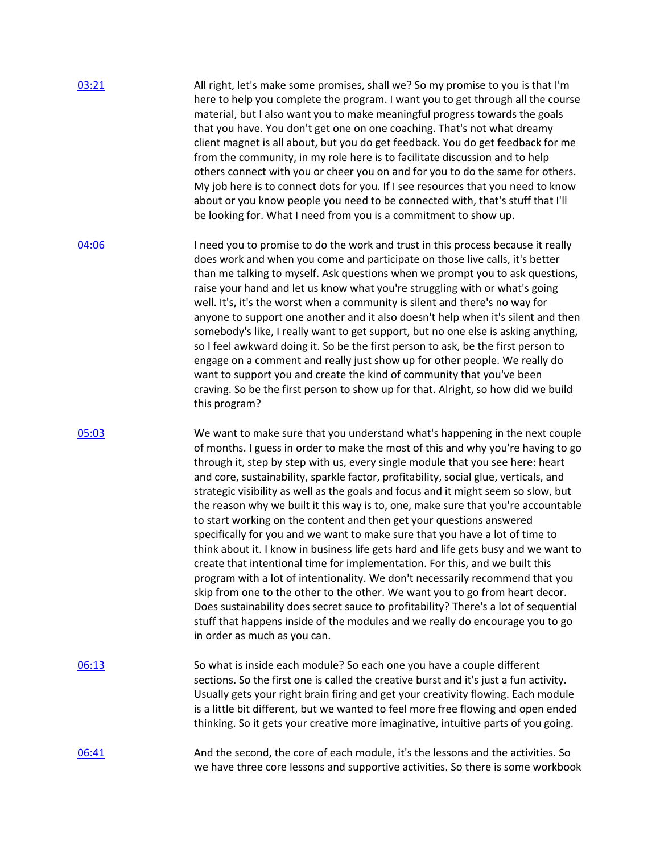| 03:21 | All right, let's make some promises, shall we? So my promise to you is that I'm<br>here to help you complete the program. I want you to get through all the course<br>material, but I also want you to make meaningful progress towards the goals<br>that you have. You don't get one on one coaching. That's not what dreamy<br>client magnet is all about, but you do get feedback. You do get feedback for me<br>from the community, in my role here is to facilitate discussion and to help<br>others connect with you or cheer you on and for you to do the same for others.<br>My job here is to connect dots for you. If I see resources that you need to know<br>about or you know people you need to be connected with, that's stuff that I'll<br>be looking for. What I need from you is a commitment to show up.                                                                                                                                                                                                                                                                                                                                                                                                   |
|-------|-------------------------------------------------------------------------------------------------------------------------------------------------------------------------------------------------------------------------------------------------------------------------------------------------------------------------------------------------------------------------------------------------------------------------------------------------------------------------------------------------------------------------------------------------------------------------------------------------------------------------------------------------------------------------------------------------------------------------------------------------------------------------------------------------------------------------------------------------------------------------------------------------------------------------------------------------------------------------------------------------------------------------------------------------------------------------------------------------------------------------------------------------------------------------------------------------------------------------------|
| 04:06 | I need you to promise to do the work and trust in this process because it really<br>does work and when you come and participate on those live calls, it's better<br>than me talking to myself. Ask questions when we prompt you to ask questions,<br>raise your hand and let us know what you're struggling with or what's going<br>well. It's, it's the worst when a community is silent and there's no way for<br>anyone to support one another and it also doesn't help when it's silent and then<br>somebody's like, I really want to get support, but no one else is asking anything,<br>so I feel awkward doing it. So be the first person to ask, be the first person to<br>engage on a comment and really just show up for other people. We really do<br>want to support you and create the kind of community that you've been<br>craving. So be the first person to show up for that. Alright, so how did we build<br>this program?                                                                                                                                                                                                                                                                                  |
| 05:03 | We want to make sure that you understand what's happening in the next couple<br>of months. I guess in order to make the most of this and why you're having to go<br>through it, step by step with us, every single module that you see here: heart<br>and core, sustainability, sparkle factor, profitability, social glue, verticals, and<br>strategic visibility as well as the goals and focus and it might seem so slow, but<br>the reason why we built it this way is to, one, make sure that you're accountable<br>to start working on the content and then get your questions answered<br>specifically for you and we want to make sure that you have a lot of time to<br>think about it. I know in business life gets hard and life gets busy and we want to<br>create that intentional time for implementation. For this, and we built this<br>program with a lot of intentionality. We don't necessarily recommend that you<br>skip from one to the other to the other. We want you to go from heart decor.<br>Does sustainability does secret sauce to profitability? There's a lot of sequential<br>stuff that happens inside of the modules and we really do encourage you to go<br>in order as much as you can. |
| 06:13 | So what is inside each module? So each one you have a couple different<br>sections. So the first one is called the creative burst and it's just a fun activity.<br>Usually gets your right brain firing and get your creativity flowing. Each module<br>is a little bit different, but we wanted to feel more free flowing and open ended<br>thinking. So it gets your creative more imaginative, intuitive parts of you going.                                                                                                                                                                                                                                                                                                                                                                                                                                                                                                                                                                                                                                                                                                                                                                                               |
| 06:41 | And the second, the core of each module, it's the lessons and the activities. So<br>we have three core lessons and supportive activities. So there is some workbook                                                                                                                                                                                                                                                                                                                                                                                                                                                                                                                                                                                                                                                                                                                                                                                                                                                                                                                                                                                                                                                           |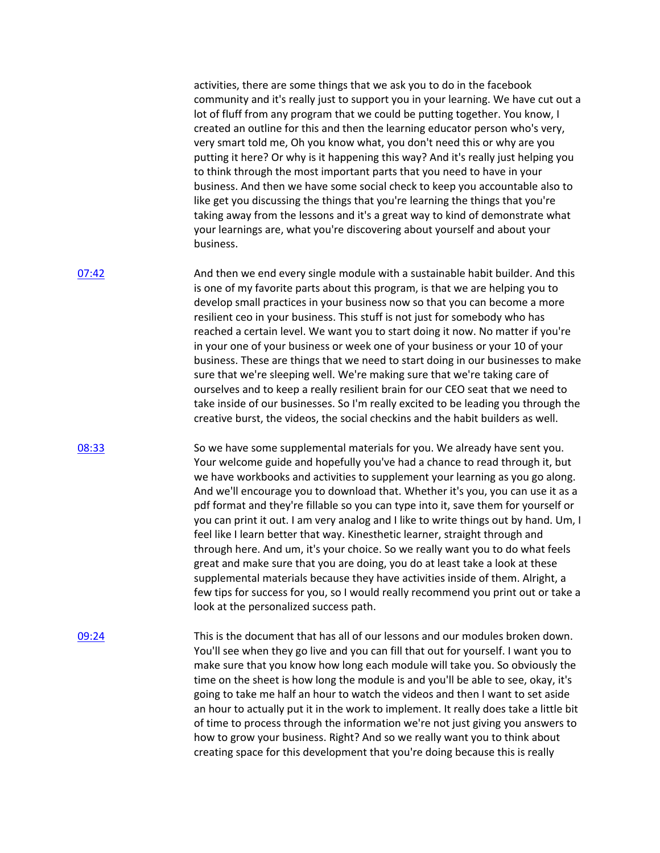activities, there are some things that we ask you to do in the facebook community and it's really just to support you in your learning. We have cut out a lot of fluff from any program that we could be putting together. You know, I created an outline for this and then the learning educator person who's very, very smart told me, Oh you know what, you don't need this or why are you putting it here? Or why is it happening this way? And it's really just helping you to think through the most important parts that you need to have in your business. And then we have some social check to keep you accountable also to like get you discussing the things that you're learning the things that you're taking away from the lessons and it's a great way to kind of demonstrate what your learnings are, what you're discovering about yourself and about your business.

[07:42](https://www.temi.com/editor/t/9xcJHbY_7NCn9CUAU5wlze3owf3hz62_nWa7sGDXTmtcgl8c27u6Gymuk5KUpTLgQVvbesvsxpVaS7_2B0MBZAawboI?loadFrom=DocumentDeeplink&ts=462.1) And then we end every single module with a sustainable habit builder. And this is one of my favorite parts about this program, is that we are helping you to develop small practices in your business now so that you can become a more resilient ceo in your business. This stuff is not just for somebody who has reached a certain level. We want you to start doing it now. No matter if you're in your one of your business or week one of your business or your 10 of your business. These are things that we need to start doing in our businesses to make sure that we're sleeping well. We're making sure that we're taking care of ourselves and to keep a really resilient brain for our CEO seat that we need to take inside of our businesses. So I'm really excited to be leading you through the creative burst, the videos, the social checkins and the habit builders as well.

[08:33](https://www.temi.com/editor/t/9xcJHbY_7NCn9CUAU5wlze3owf3hz62_nWa7sGDXTmtcgl8c27u6Gymuk5KUpTLgQVvbesvsxpVaS7_2B0MBZAawboI?loadFrom=DocumentDeeplink&ts=513.52) So we have some supplemental materials for you. We already have sent you. Your welcome guide and hopefully you've had a chance to read through it, but we have workbooks and activities to supplement your learning as you go along. And we'll encourage you to download that. Whether it's you, you can use it as a pdf format and they're fillable so you can type into it, save them for yourself or you can print it out. I am very analog and I like to write things out by hand. Um, I feel like I learn better that way. Kinesthetic learner, straight through and through here. And um, it's your choice. So we really want you to do what feels great and make sure that you are doing, you do at least take a look at these supplemental materials because they have activities inside of them. Alright, a few tips for success for you, so I would really recommend you print out or take a look at the personalized success path.

[09:24](https://www.temi.com/editor/t/9xcJHbY_7NCn9CUAU5wlze3owf3hz62_nWa7sGDXTmtcgl8c27u6Gymuk5KUpTLgQVvbesvsxpVaS7_2B0MBZAawboI?loadFrom=DocumentDeeplink&ts=564.18) This is the document that has all of our lessons and our modules broken down. You'll see when they go live and you can fill that out for yourself. I want you to make sure that you know how long each module will take you. So obviously the time on the sheet is how long the module is and you'll be able to see, okay, it's going to take me half an hour to watch the videos and then I want to set aside an hour to actually put it in the work to implement. It really does take a little bit of time to process through the information we're not just giving you answers to how to grow your business. Right? And so we really want you to think about creating space for this development that you're doing because this is really